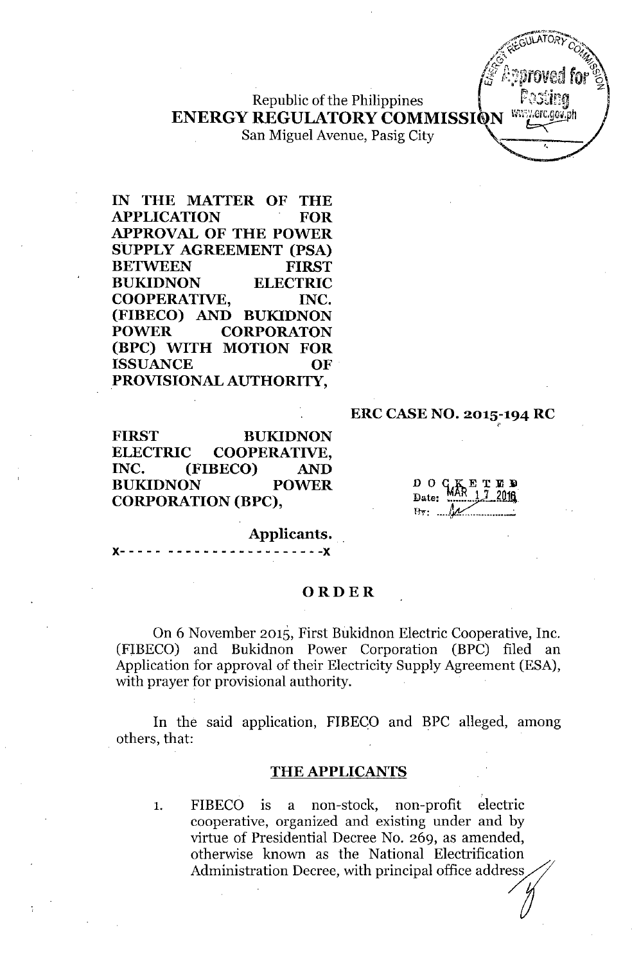Republic of the Philippines **ENERGY REGULATORY COMMISSI**

San Miguel Avenue, Pasig City

**IN THE MATTER OF THE APPLICATION FOR APPROVAL OF THE POWER SUPPLY AGREEMENT (PSA) BETWEEN FIRST BUKIDNON ELECTRIC COOPERATIVE, INC. (FIBECO) AND BUKIDNON POWER CORPORATON (BPC) WITH MOTION FOR ISSUANCE OF PROVISIONAL AUTHORITY,**

#### **ERC CASE NO. 2015-194 RC** ,

**FIRST BUKIDNON ELECTRIC COOPERATIVE, INC. (FIBECO) AND BUKIDNON POWER CORPORATION (BPC),**

 $D$   $O$   $C$ <sup>K</sup>  $\sum_{R=1}$   $\sum_{7=2048}$ Date:  $F_{\mathcal{W}}$ 

**Applicants.**

**x- - - - - - - - - - - - - - - - - - - - - - -x**

#### **ORDER**

On 6 November 2015, First Bukidnon Electric Cooperative, Inc. (FIBECO) and Bukidnon Power Corporation (BPC) filed an Application for approval of their Electricity Supply Agreement (ESA), with prayer for provisional authority.

In the said application, FIBECO and BPC alleged, among others, that:

#### **THE APPLICANTS**

1. FIBECO is a non-stock, non-profit electric cooperative, organized and existing under and by virtue of Presidential Decree No. 269, as amended, otherwise known as the National Electrification Administration Decree, with principal office address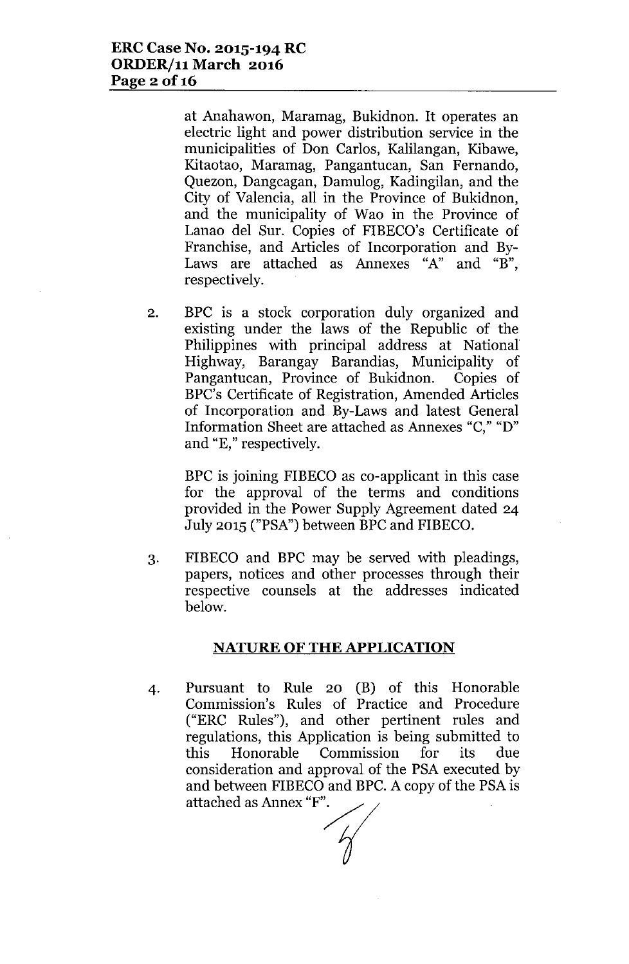at Anahawon, Maramag, Bukidnon. It operates an electric light and power distribution service in the municipalities of Don Carlos, Kalilangan, Kibawe, Kitaotao, Maramag, Pangantucan, San Fernando, Quezon, Dangcagan, Damulog, Kadingilan, and the City of Valencia, all in the Province of Bukidnon, and the municipality of Wao in the Province of Lanao del Sur. Copies of FIBECO's Certificate of Franchise, and Articles of Incorporation and By-Laws are attached as Annexes "A" and "B", respectively.

2. BPC is a stock corporation duly organized and existing under the laws of the Republic of the Philippines with principal address at National Highway, Barangay Barandias, Municipality of Pangantucan, Province of Bukidnon. Copies of BPC's Certificate of Registration, Amended Articles of Incorporation and By-Laws and latest General Information Sheet are attached as Annexes "C," "D" and "E," respectively.

BPC is joining FIBECO as co-applicant in this case for the approval of the terms and conditions provided in the Power Supply Agreement dated 24 July 2015 ("PSA") between BPC and FIBECO.

3. FIBECO and EPC may be served with pleadings, papers, notices and other processes through their respective counsels at the addresses indicated below.

## **NATURE OF THE APPLICATION**

4. Pursuant to Rule 20 (B) of this Honorable Commission's Rules of Practice and Procedure ("ERC Rules"), and other pertinent rules and regulations, this Application is being submitted to this Honorable Commission for its due consideration and approval of the PSA executed by and between FIBECO and BPC. A copy of the PSA is attached as Annex "F".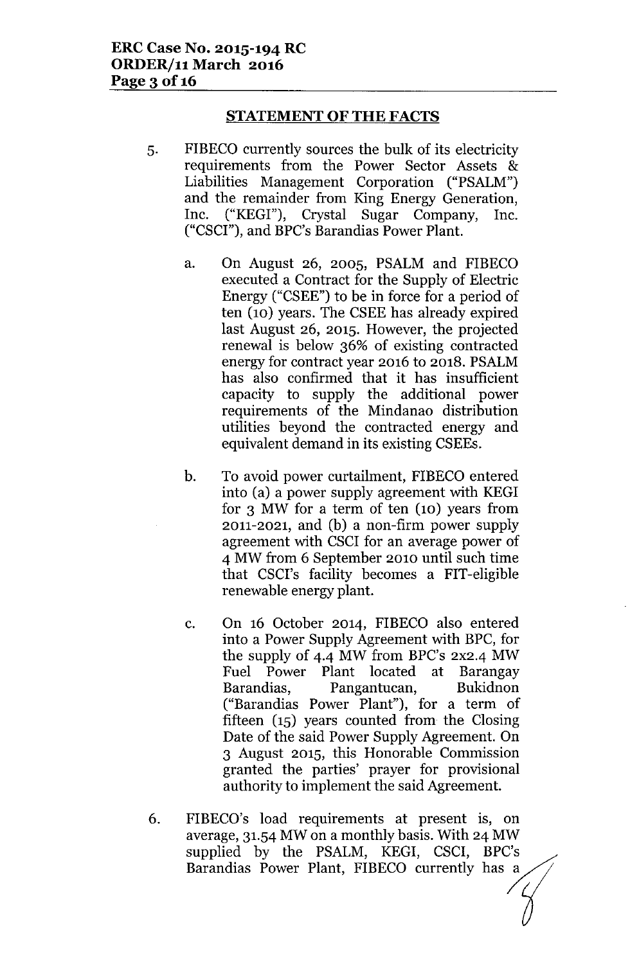### **STATEMENT OF THE FACTS**

- 5. FIBECO currently sources the bulk of its electricity requirements from the Power Sector Assets & Liabilities Management Corporation ("PSALM") and the remainder from King Energy Generation, Inc. ("KEGI"), Crystal Sugar Company, Inc. ("CSCI"), and BPC's Barandias Power Plant.
	- a. On August 26, 2005, PSALM and FIBECO executed a Contract for the Supply of Electric Energy ("CSEE") to be in force for a period of ten (10) years. The CSEE has already expired last August 26, 2015. However, the projected renewal is below 36% of existing contracted energy for contract year 2016 to 2018. PSALM has also confirmed that it has insufficient capacity to supply the additional power requirements of the Mindanao distribution utilities beyond the contracted energy and equivalent demand in its existing CSEEs.
	- b. To avoid power curtailment, FIBECO entered into (a) a power supply agreement with KEGI for 3 MW for a term of ten (10) years from 2011-2021, and (b) a non-firm power supply agreement with CSCI for an average power of 4 MW from 6 September 2010 until such time that CSCI's facility becomes a FIT-eligible renewable energy plant.
	- c. On 16 October 2014, FIBECO also entered into a Power Supply Agreement with BPC, for the supply of 4-4 MW from BPC's 2X2-4 MW Fuel Power Plant located at Barangay Barandias, Pangantucan, Bukidnon ("Barandias Power Plant"), for a term of fifteen (15) years counted from the Closing Date of the said Power Supply Agreement. On 3 August 2015, this Honorable Commission granted the parties' prayer for provisional authority to implement the said Agreement.
- 6. FIBECO's load requirements at present is, on average, 31.54 MW on a monthly basis. With 24 MW supplied by the PSALM, KEGI, CSCI, BPC's Barandias Power Plant, FIBECO currently has a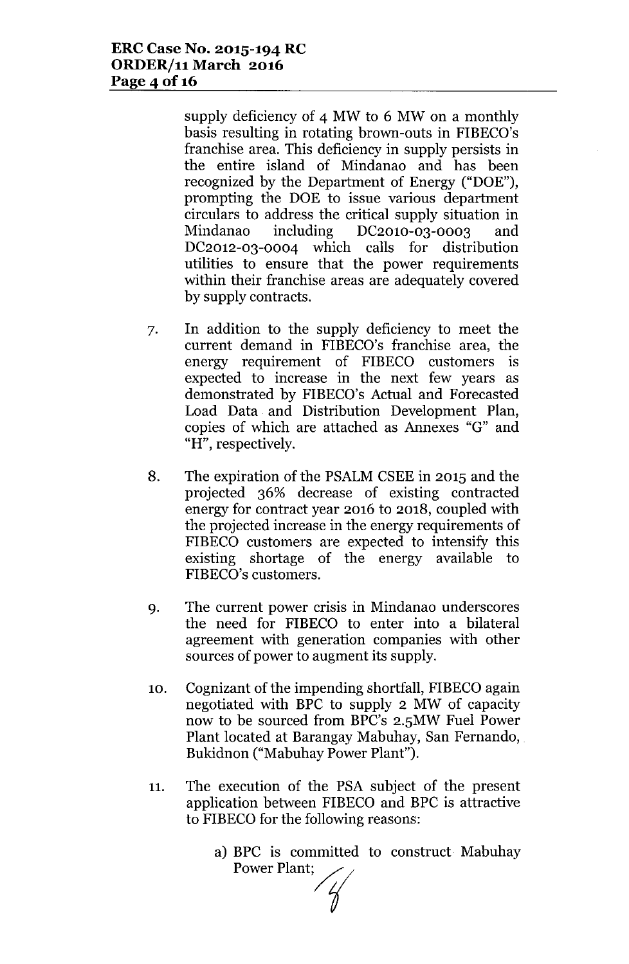supply deficiency of 4 MW to 6 MW on a monthly basis resulting in rotating brown-outs in FIBECO's franchise area. This deficiency in supply persists in the entire island of Mindanao and has been recognized by the Department of Energy ("DOE"), prompting the DOE to issue various department circulars to address the critical supply situation in Mindanao including DC201O-03-0003 and DC2012-03-0004 which calls for distribution utilities to ensure that the power requirements within their franchise areas are adequately covered by supply contracts.

- 7. In addition to the supply deficiency to meet the current demand in FIBECO's franchise area, the energy requirement of FIBECO customers is expected to increase in the next few years as demonstrated by FIBECO's Actual and Forecasted Load Data and Distribution Development Plan, copies of which are attached as Annexes "G" and "H", respectively.
- 8. The expiration of the PSALMCSEE in 2015 and the projected 36% decrease of existing contracted energy for contract year 2016 to 2018, coupled with the projected increase in the energy requirements of FIBECO customers are expected to intensify this existing shortage of the energy available to FIBECO's customers.
- 9. The current power crisis in Mindanao underscores the need for FIBECO to enter into a bilateral agreement with generation companies with other sources of power to augment its supply.
- 10. Cognizant of the impending shortfall, FIBECO again negotiated with BPC to supply 2 MW of capacity now to be sourced from BPC's 2.5MW Fuel Power Plant located at Barangay Mabuhay, San Fernando, Bukidnon ("Mabuhay Power Plant").
- 11. The execution of the PSA subject of the present application between FIBECO and BPC is attractive to FIBECO for the following reasons:
	- a) BPC is committed to construct Mabuhay Power Plant;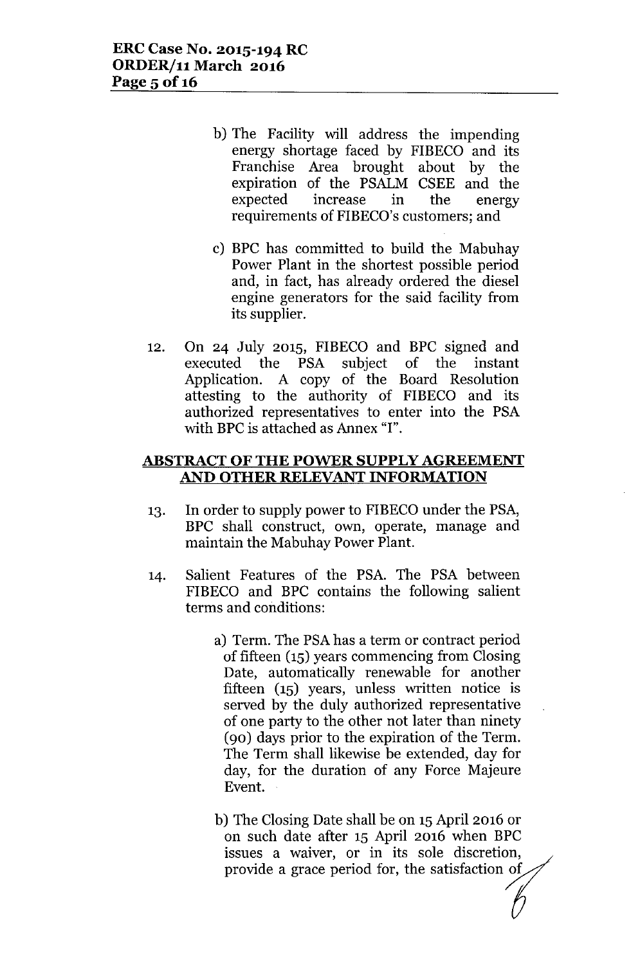- b) The Facility will address the impending energy shortage faced by FIBECO and its Franchise Area brought about by the expiration of the PSALM CSEE and the expected increase in the energy requirements of FIBECO's customers; and
- c) BPC has committed to build the Mabuhay Power Plant in the shortest possible period and, in fact, has already ordered the diesel engine generators for the said facility from its supplier.
- 12. On 24 July 2015, FIBECO and BPC signed and executed the PSA subject of the instant Application. A copy of the Board Resolution attesting to the authority of FIBECO and its authorized representatives to enter into the PSA with BPC is attached as Annex "I".

#### **ABSTRACT OF THE POWER SUPPLY AGREEMENT AND OTHER RELEVANT INFORMATION**

- 13. In order to supply power to FIBECO under the PSA, BPC shall construct, own, operate, manage and maintain the Mabuhay Power Plant.
- 14. Salient Features of the PSA. The PSA between FIBECO and BPC contains the following salient terms and conditions:
	- a) Term. The PSA has a term or contract period of fifteen (15) years commencing from Closing Date, automatically renewable for another fifteen (15) years, unless written notice is served by the duly authorized representative of one party to the other not later than ninety (90) days prior to the expiration of the Term. The Term shall likewise be extended, day for day, for the duration of any Force Majeure Event.
	- b) The Closing Date shall be on 15April 2016 or on such date after 15 April 2016 when BPC issues a waiver, or in its sole discretion, provide a grace period for, the satisfaction of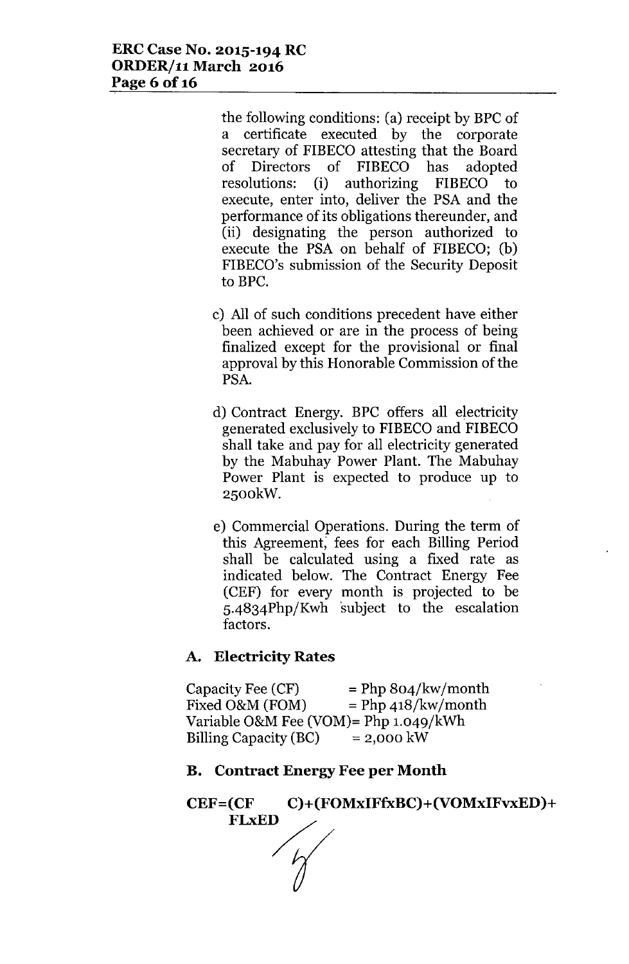the following conditions: (a) receipt by BPC of a certificate executed by the corporate secretary of FIBECO attesting that the Board of Directors of FIBECO has adopted resolutions: (i) authorizing FIBECO to execute, enter into, deliver the PSA and the performance of its obligations thereunder, and (ii) designating the person authorized to execute the PSA on behalf of FIBECO; (b) FIBECO's submission of the Security Deposit to BPC.

- c) All of such conditions precedent have either been achieved or are in the process of being finalized except for the provisional or final approval by this Honorable Commission of the PSA.
- d) Contract Energy. BPC offers all electricity generated exclusively to FIBECO and FIBECO shall take and pay for all electricity generated by the Mabuhay Power Plant. The Mabuhay Power Plant is expected to produce up to 2500kW.
- e) Commercial Operations. During the term of this Agreement; fees for each Billing Period shall be calculated using a fixed rate as indicated below. The Contract Energy Fee (CEF) for every month is projected to be 5-4834Php/Kwh subject to the escalation factors.

# A. Electricity Rates

Capacity Fee  $(CF)$  = Php 804/kw/month Fixed O&M (FOM)  $=$  Php 418/kw/mont Variable O&M Fee (VOM)=  $Php 1.049/kWh$ Billing Capacity  $(BC) = 2,000$  kW

## B. Contract Energy Fee per Month

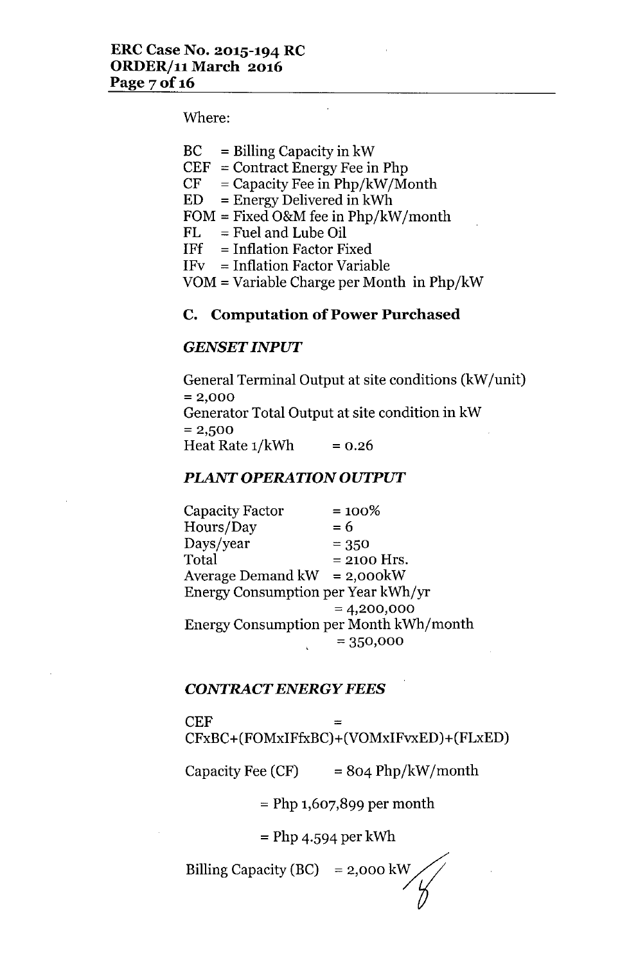Where:

 $CEF = Contract Energy Free in Php$ 

 $CF = Capacity$  Fee in Php/kW/Month

 $ED = Energy$  Delivered in kWh

 $FOM = Fixed O&M$  fee in  $Php/kW/month$ 

 $FL = Fuel$  and Lube Oil

- $IFf = Inflation Factor Fixed$
- IFv = Inflation Factor Variable

VOM = Variable Charge per Month in Php/kW

## **C. Computation of Power Purchased**

## *GENSET INPUT*

General Terminal Output at site conditions (kW/unit)  $= 2,000$ Generator Total Output at site condition in kW  $= 2,500$ Heat Rate  $1/kWh$  = 0.26

## *PLANT OPERATION OUTPUT*

Capacity Factor  $= 100\%$  $\text{Hours}/\text{Day} = 6$  $Days/year$  = 350  $Total = 2100$  Hrs. Average Demand  $kW = 2,000kW$ Energy Consumption per Year kWh/yr  $= 4,200,000$ Energy Consumption per Month kWh/month  $= 350,000$ 

#### *CONTRACT ENERGY FEES*

#### $CEF$

CFxBC+(FOMxIFfxBC)+(VOMxIFvxED )+(FLxED)

Capacity Fee  $(CF)$  = 804 Php/kW/month

 $=$  Php 1,607,899 per month

 $=$  Php 4.594 per kWh

Billing Capacity (BC)  $= 2,000 \text{ kW}$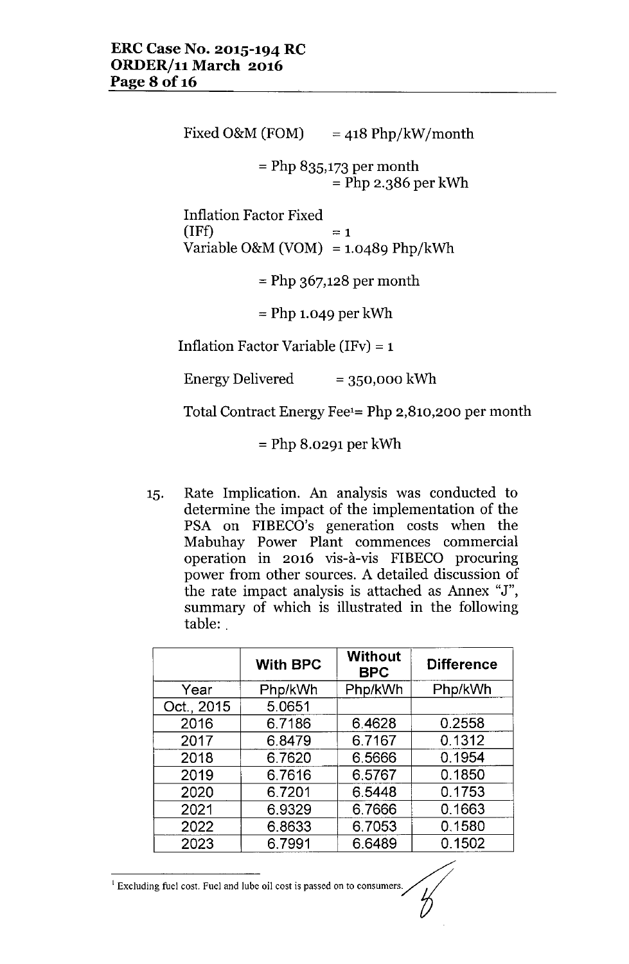Fixed O&M (FOM)  $=$  418 Php/kW/month  $=$  Php 835,173 per month = Php 2.386 per kWh Inflation Factor Fixed (IFf) Variable O&M (VOM) = 1.0489 Php/kWh  $=1$  $=$  Php 367,128 per month  $=$  Php 1.049 per kWh Inflation Factor Variable (IFv) =  $1$ Energy Delivered  $= 350,000$  kWh

Total Contract Energy Fee1= Php 2,810,200 per month

= Php 8.0291 per kWh

15. Rate Implication. An analysis was conducted to determine the impact of the implementation of the PSA on FIBECO's generation costs when the Mabuhay Power Plant commences commercial operation in 2016 vis-à-vis FIBECO procuring power from other sources. A detailed discussion of the rate impact analysis is attached as Annex "J", summary of which is illustrated in the following table: .

|            | <b>With BPC</b> | <b>Without</b><br><b>BPC</b> | <b>Difference</b> |
|------------|-----------------|------------------------------|-------------------|
| Year       | Php/kWh         | Php/kWh                      | Php/kWh           |
| Oct., 2015 | 5.0651          |                              |                   |
| 2016       | 6.7186          | 6.4628                       | 0.2558            |
| 2017       | 6.8479          | 6.7167                       | 0.1312            |
| 2018       | 6.7620          | 6.5666                       | 0.1954            |
| 2019       | 6.7616          | 6.5767                       | 0.1850            |
| 2020       | 6.7201          | 6.5448                       | 0.1753            |
| 2021       | 6.9329          | 6.7666                       | 0.1663            |
| 2022       | 6.8633          | 6.7053                       | 0.1580            |
| 2023       | 6.7991          | 6.6489                       | 0.1502            |

<sup>1</sup> Excluding fuel cost. Fuel and lube oil cost is passed on to consumers.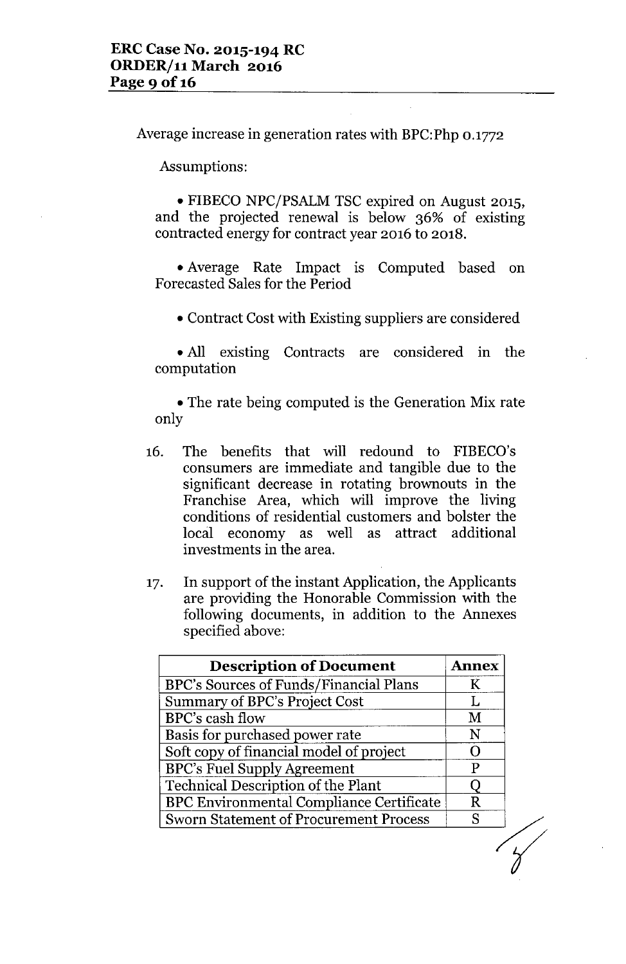Average increase in generation rates with BPC:Php 0.1772

Assumptions:

• FIBECO NPC/PSALM TSC expired on August 2015, and the projected renewal is below 36% of existing contracted energy for contract year 2016 to 2018 .

• Average Rate Impact is Computed based on Forecasted Sales for the Period

• Contract Cost with Existing suppliers are considered

• All existing Contracts are considered in the computation

• The rate being computed is the Generation Mix rate only

- 16. The benefits that will redound to FIBECO's consumers are immediate and tangible due to the significant decrease in rotating brownouts in the Franchise Area, which will improve the living conditions of residential customers and bolster the local economy as well as attract additional investments in the area.
- 17. In support of the instant Application, the Applicants are providing the Honorable Commission with the following documents, in addition to the Annexes specified above:

| <b>Description of Document</b>                  | <b>Annex</b> |
|-------------------------------------------------|--------------|
| BPC's Sources of Funds/Financial Plans          | K            |
| <b>Summary of BPC's Project Cost</b>            | Ι.           |
| BPC's cash flow                                 | M            |
| Basis for purchased power rate                  | N            |
| Soft copy of financial model of project         |              |
| <b>BPC's Fuel Supply Agreement</b>              | Р            |
| <b>Technical Description of the Plant</b>       |              |
| <b>BPC Environmental Compliance Certificate</b> | R            |
| <b>Sworn Statement of Procurement Process</b>   | Q            |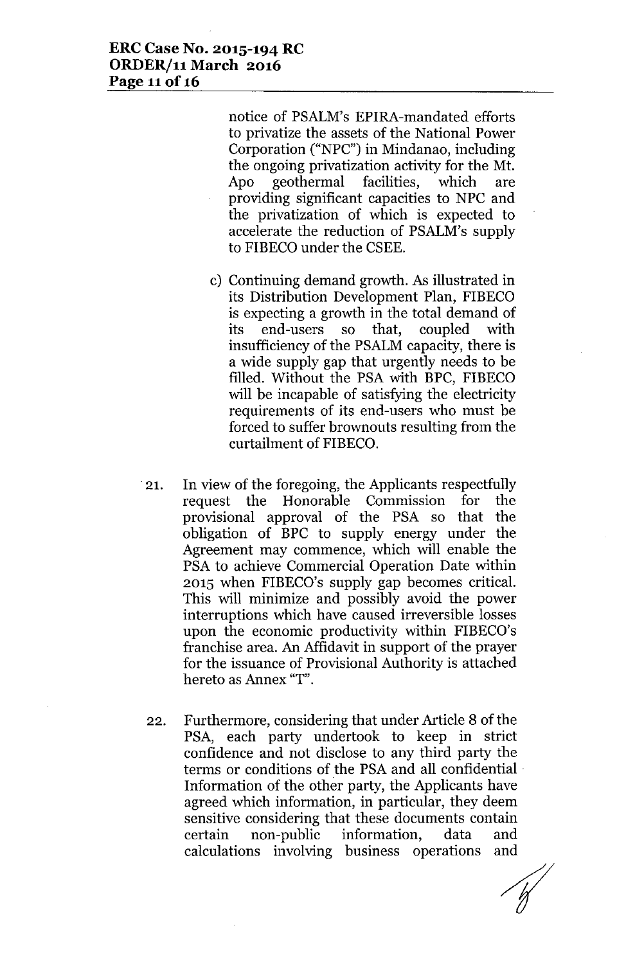#### **ERC Case No. 2015-194 RC** *ORDERj11* **March 2016 Page 11**of 16

notice of PSALM's EPIRA-mandated efforts to privatize the assets of the National Power Corporation ("NPC") in Mindanao, including the ongoing privatization activity for the Mt. Apo geothermal facilities, which are providing significant capacities to NPC and the privatization of which is expected to accelerate the reduction of PSALM's supply to FIBECO under the CSEE.

- c) Continuing demand growth. As illustrated in its Distribution Development Plan, FIBECO is expecting a growth in the total demand of its end-users so that, coupled with insufficiency of the PSALM capacity, there is a wide supply gap that urgently needs to be filled. Without the PSA with BPC, FIBECO will be incapable of satisfying the electricity requirements of its end-users who must be forced to suffer brownouts resulting from the curtailment of FIBECO.
- .21. In view of the foregoing, the Applicants respectfully request the Honorable Commission for the provisional approval of the PSA so that the obligation of BPC to supply energy under the Agreement may commence, which will enable the PSA to achieve Commercial Operation Date within 2015 when FIBECO's supply gap becomes critical. This will minimize and possibly avoid the power interruptions which have caused irreversible losses upon the economic productivity within FIBECO's franchise area. An Affidavit in support of the prayer for the issuance of Provisional Authority is attached hereto as Annex "T".
- 22. Furthermore, considering that under Article 8 of the PSA, each party undertook to keep in strict confidence and not disclose to any third party the terms or conditions of the PSA and all confidential . Information of the other party, the Applicants have agreed which information, in particular, they deem sensitive considering that these documents contain certain non-public information, data and calculations involving business operations and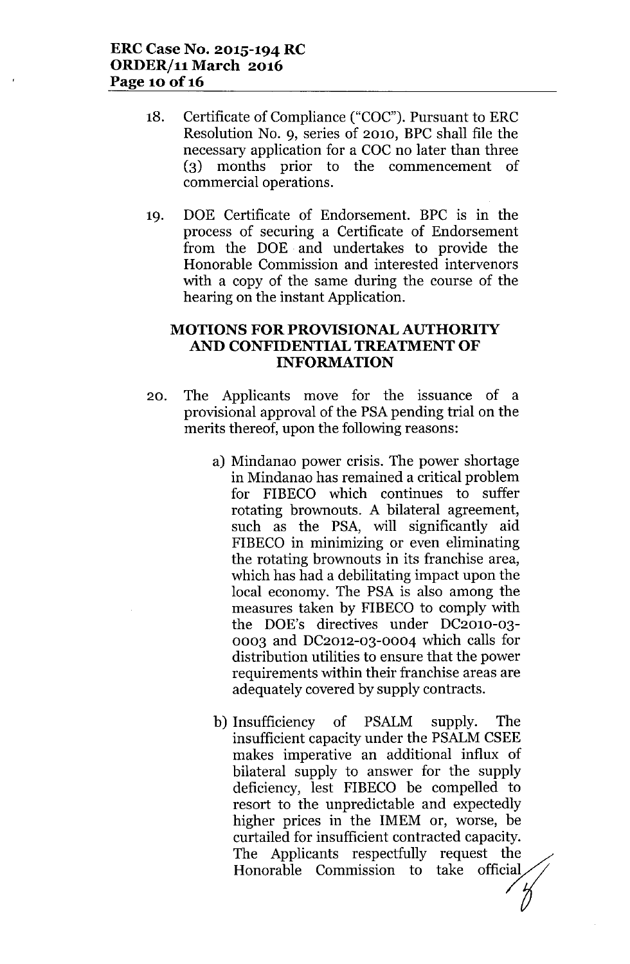- 18. Certificate of Compliance ("COC"). Pursuant to ERC Resolution NO.9, series of 2010, BPC shall file the necessary application for a COC no later than three (3) months prior to the commencement of commercial operations.
- 19. DOE Certificate of Endorsement. BPC is in the process of securing a Certificate of Endorsement from the DOE and undertakes to provide the Honorable Commission and interested intervenors with a copy of the same during the course of the hearing on the instant Application.

## **MOTIONS FOR PROVISIONAL AUTHORITY AND CONFIDENTIAL TREATMENT OF INFORMATION**

- 20. The Applicants move for the issuance of a provisional approval of the PSApending trial on the merits thereof, upon the following reasons:
	- a) Mindanao power crisis. The power shortage in Mindanao has remained a critical problem for FIBECO which continues to suffer rotating brownouts. A bilateral agreement, such as the PSA, will significantly aid FIBECO in minimizing or even eliminating the rotating brownouts in its franchise area, which has had a debilitating impact upon the local economy. The PSA is also among the measures taken by FIBECO to comply with the DOE's directives under DC201O-03- 0003 and DC2012-03-0004 which calls for distribution utilities to ensure that the power requirements within their franchise areas are adequately covered by supply contracts.
	- b) Insufficiency of PSALM supply. The insufficient capacity under the PSALMCSEE makes imperative an additional influx of bilateral supply to answer for the supply deficiency, lest FIBECO be compelled to resort to the unpredictable and expectedly higher prices in the IMEM or, worse, be curtailed for insufficient contracted capacity. The Applicants respectfully request the Honorable Commission to take official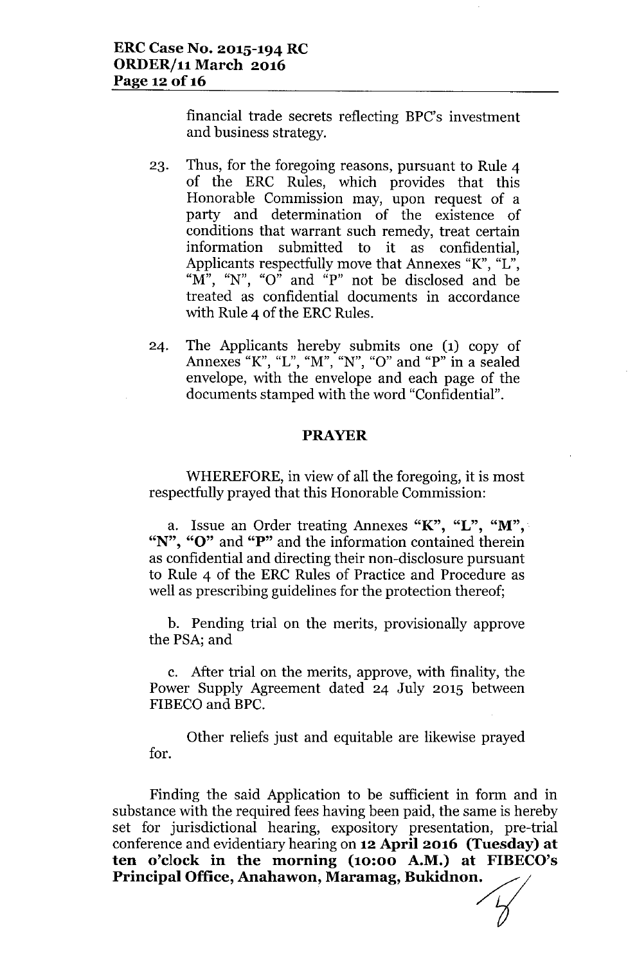financial trade secrets reflecting EPC's investment and business strategy.

- 23. Thus, for the foregoing reasons, pursuant to Rule 4 of the ERC Rules, which provides that this Honorable Commission may, upon request of a party and determination of the existence of conditions that warrant such remedy, treat certain information submitted to it as confidential, Applicants respectfully move that Annexes *"K",* "L", " $M$ ", "N", "O" and "P" not be disclosed and be treated as confidential documents in accordance with Rule 4 of the ERC Rules.
- 24. The Applicants hereby submits one (1) copy of Annexes *"K"*, "L", "M", "N", "0" and "P" in a sealed envelope, with the envelope and each page of the documents stamped with the word "Confidential".

#### **PRAYER**

WHEREFORE, in view of all the foregoing, it is most respectfully prayed that this Honorable Commission:

a. Issue an Order treating Annexes " $K$ ", " $L$ ", " $M$ ", "N", "O" and "P" and the information contained therein as confidential and directing their non-disclosure pursuant to Rule 4 of the ERC Rules of Practice and Procedure as well as prescribing guidelines for the protection thereof;

b. Pending trial on the merits, provisionally approve the PSA; and

c. After trial on the merits, approve, with finality, the Power Supply Agreement dated 24 July 2015 between FIBECO and EPC.

Other reliefs just and equitable are likewise prayed for.

Finding the said Application to be sufficient in form and in substance with the required fees having been paid, the same is hereby set for jurisdictional hearing, expository presentation, pre-trial conference and evidentiary hearing on **12April 2016 (Tuesday) at ten o'clock in the morning (10:00 A.M.) at FIBECO's** Principal Office, Anahawon, Maramag, Bukidnon.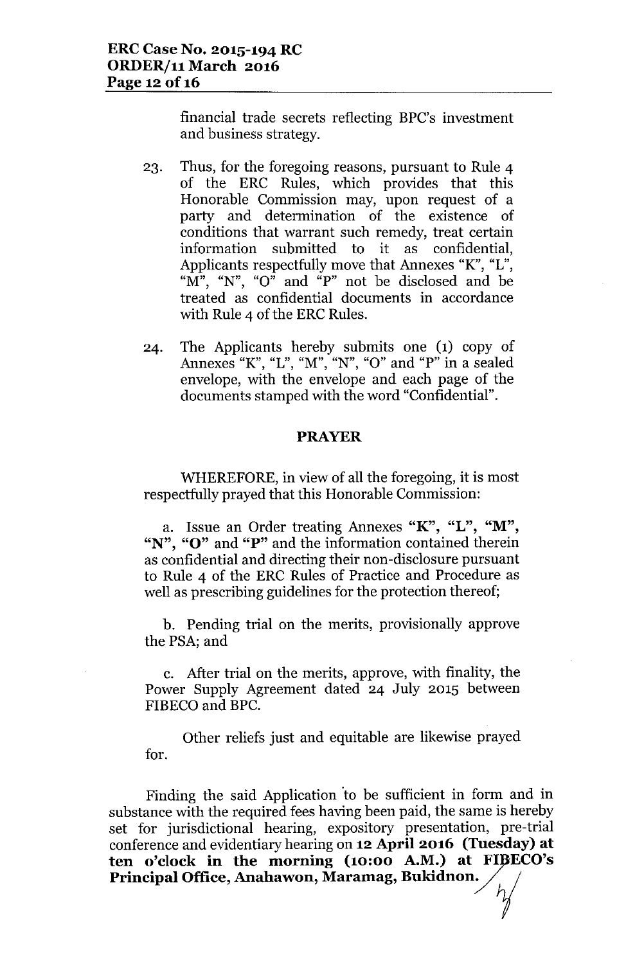financial trade secrets reflecting BPC's investment and business strategy.

- 23. Thus, for the foregoing reasons, pursuant to Rule 4 of the ERC Rules, which provides that this Honorable Commission may, upon request of a party and determination of the existence of conditions that warrant such remedy, treat certain information submitted to it as confidential, Applicants respectfully move that Annexes "K", "L", " $\overline{M}$ ", " $N$ ", " $O$ " and " $P$ " not be disclosed and be treated as confidential documents in accordance with Rule 4 of the ERC Rules.
- 24. The Applicants hereby submits one (1) copy of Annexes "K", "L", "M", "N", "0" and "P" in a sealed envelope, with the envelope and each page of the documents stamped with the word "Confidential".

#### PRAYER

WHEREFORE, in view of all the foregoing, it is most respectfully prayed that this Honorable Commission:

a. Issue an Order treating Annexes "K", "L", "M", "N", "O" and "P" and the information contained therein as confidential and directing their non-disclosure pursuant to Rule 4 of the ERC Rules of Practice and Procedure as well as prescribing guidelines for the protection thereof;

b. Pending trial on the merits, provisionally approve the PSA; and

c. After trial on the merits, approve, with finality, the Power Supply Agreement dated 24 July 2015 between FIBECO and BPC.

Other reliefs just and equitable are likewise prayed for.

Finding the said Application 'to be sufficient in form and in substance with the required fees having been paid, the same is hereby set for jurisdictional hearing, expository presentation, pre-trial conference and evidentiary hearing on 12 April 2016 (Tuesday) at ten o'clock in the morning (10:00 A.M.) at FIBECC substance with the required fees having been paid, the same is h<br>set for jurisdictional hearing, expository presentation, pre<br>conference and evidentiary hearing on  $12$  April 2016 (Tuesda<br>ten o'clock in the morning (10:00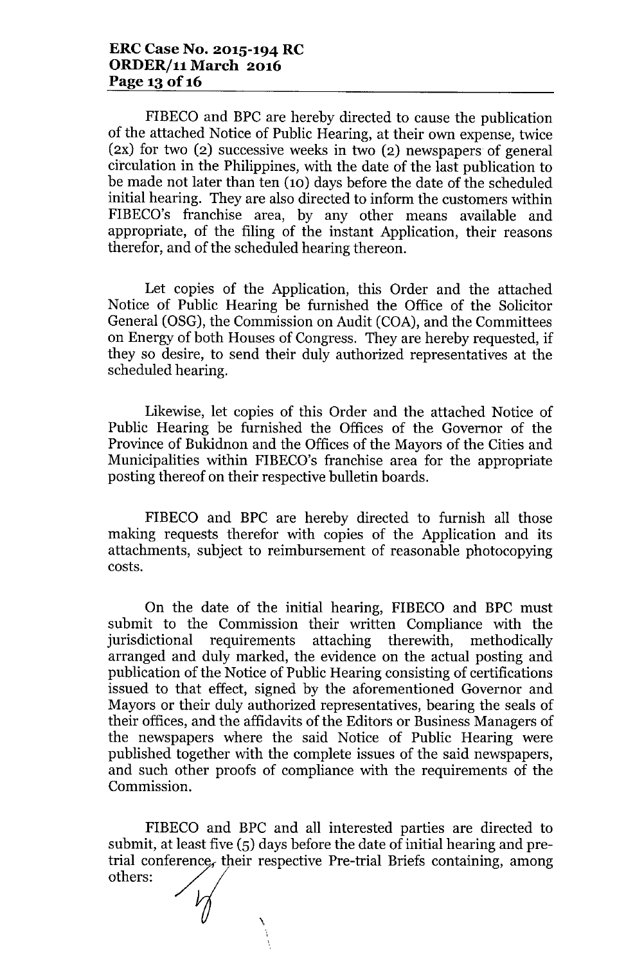FIBECO and BPC are hereby directed to cause the publication of the attached Notice of Public Hearing, at their own expense, twice (2X) for two (2) successive weeks in two (2) newspapers of general circulation in the Philippines, with the date of the last publication to be made not later than ten  $(10)$  days before the date of the scheduled initial hearing. They are also directed to inform the customers within FIBECO's franchise area, by any other means available and appropriate, of the filing of the instant Application, their reasons therefor, and of the scheduled hearing thereon.

Let copies of the Application, this Order and the attached Notice of Public Hearing be furnished the Office of the Solicitor General (OSG), the Commission on Audit (COA), and the Committees on Energy of both Houses of Congress. They are hereby requested, if they so desire, to send their duly authorized representatives at the scheduled hearing.

Likewise, let copies of this Order and the attached Notice of Public Hearing be furnished the Offices of the Governor of the Province of Bukidnon and the Offices of the Mayors of the Cities and Municipalities within FIBECO's franchise area for the appropriate posting thereof on their respective bulletin boards.

FIBECO and BPC are hereby directed to furnish all those making requests therefor with copies of the Application and its attachments, subject to reimbursement of reasonable photocopying costs.

On the date of the initial hearing, FIBECO and BPC must submit to the Commission their written Compliance with the jurisdictional requirements attaching therewith, methodically arranged and duly marked, the evidence on the actual posting and publication of the Notice of Public Hearing consisting of certifications issued to that effect, signed by the aforementioned Governor and Mayors or their duly authorized representatives, bearing the seals of their offices, and the affidavits of the Editors or Business Managers of the newspapers where the said Notice of Public Hearing were published together with the complete issues of the said newspapers, and such other proofs of compliance with the requirements of the Commission.

FIBECO and BPC and all interested parties are directed to submit, at least five (5) days before the date of initial hearing and pretrial conference, their respective Pre-trial Briefs containing, among FIBECO and BPC an<br>submit, at least five (5) days<br>trial conference, their resp<br>others:

,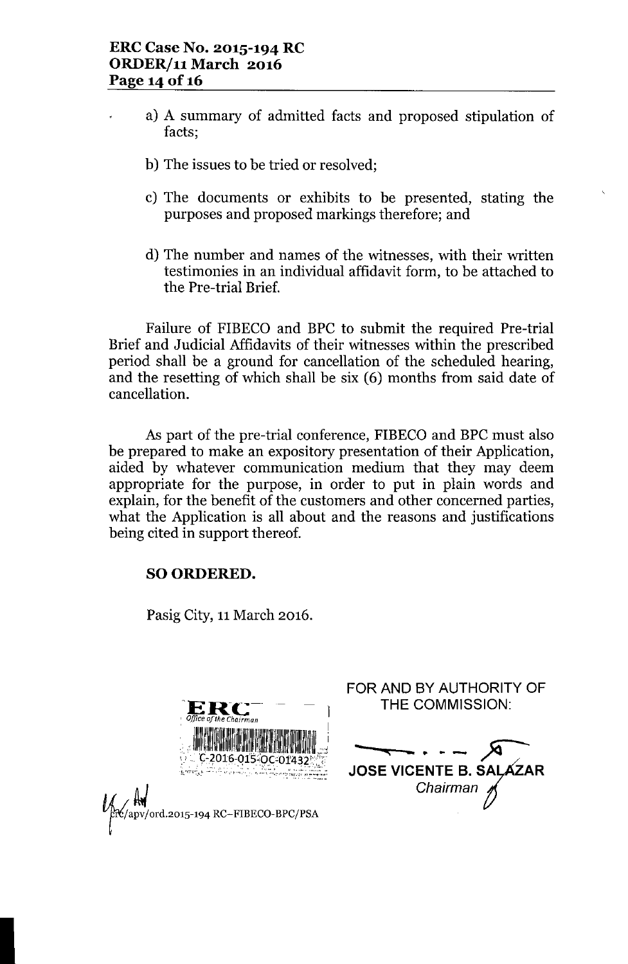- a) A summary of admitted facts and proposed stipulation of facts;
- b) The issues to be tried or resolved;
- c) The documents or exhibits to be presented, stating the purposes and proposed markings therefore; and
- d) The number and names of the witnesses, with their written testimonies in an individual affidavit form, to be attached to the Pre-trial Brief.

Failure of FIBECO and BPC to submit the required Pre-trial Brief and Judicial Affidavits of their witnesses within the prescribed period shall be a ground for cancellation of the scheduled hearing, and the resetting of which shall be six (6) months from said date of cancellation.

As part of the pre-trial conference, FIBECO and BPC must also be prepared to make an expository presentation of their Application, aided by whatever communication medium that they may deem appropriate for the purpose, in order to put in plain words and explain, for the benefit of the customers and other concerned parties, what the Application is all about and the reasons and justifications being cited in support thereof.

## SO ORDERED.

Pasig City, 11March 2016.



I

FOR AND BY AUTHORITY OF THE COMMISSION: **-** <sup>~</sup> **"< - ••• - ~ /** JOSE VICENTE B. SALAZAR *Chairman ~*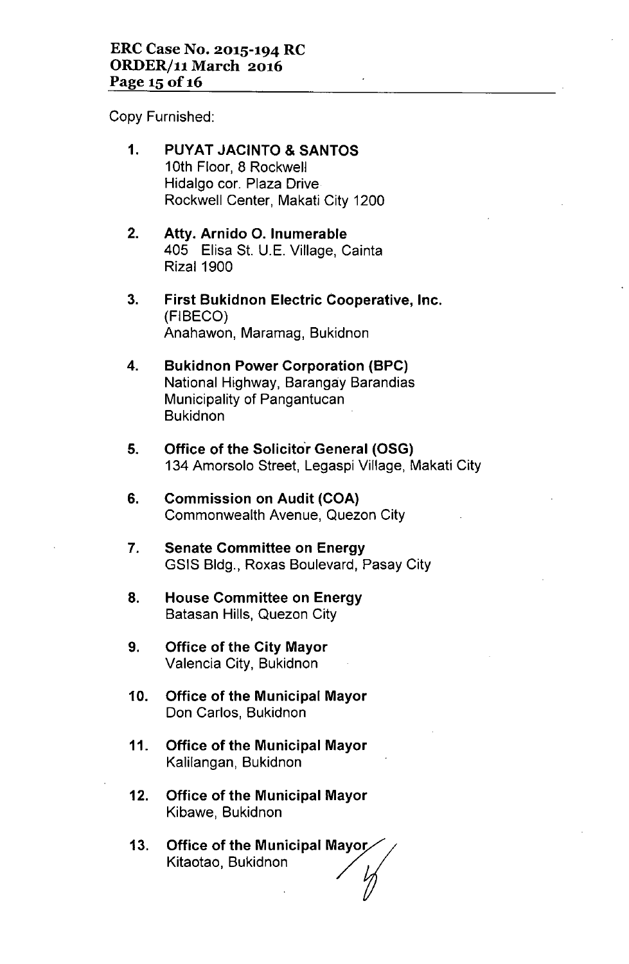Copy Furnished:

- 1. PUYAT JACINTO & SANTOS 10th Floor, 8 Rockwell Hidalgo cor. Plaza Drive Rockwell Center, Makati City 1200
- 2. Atty. Arnido O. Inumerable 405 Elisa St. U.E. Village, Cainta Rizal 1900
- 3. First Bukidnon Electric Cooperative, Inc. (FIBECO) Anahawon, Maramag, Bukidnon
- 4. Bukidnon Power Corporation (BPC) National Highway, Barangay Barandias Municipality of Pangantucan **Bukidnon**
- 5. Office of the Solicitor General (OSG) 134 Amorsolo Street, Legaspi Village, Makati City
- 6. Commission on Audit (COA) Commonwealth Avenue, Quezon City
- 7. Senate Committee on Energy GSIS Bldg., Roxas Boulevard, Pasay City
- 8. House Committee on Energy Batasan Hills, Quezon City
- 9. Office of the City Mayor Valencia City, Bukidnon
- 10. Office of the Municipal Mayor Don Carlos, Bukidnon
- 11. Office of the Municipal Mayor Kalilangan, Bukidnon
- 12. Office of the Municipal Mayor Kibawe, Bukidnon
- 13. Office of the Municipal Mayoj **Office of the Municipal Mayor/**<br>Kitaotao, Bukidnon